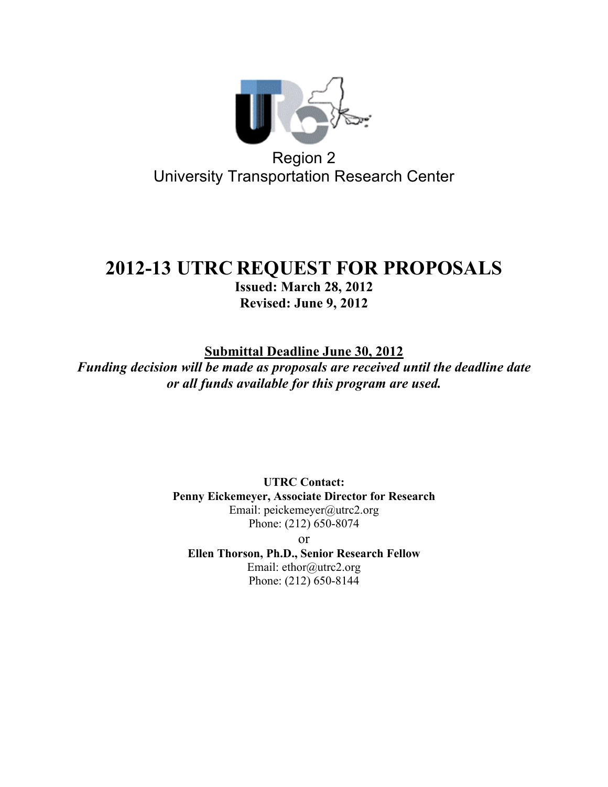

# **2012-13 UTRC REQUEST FOR PROPOSALS**

**Issued: March 28, 2012 Revised: June 9, 2012**

**Submittal Deadline June 30, 2012**

*Funding decision will be made as proposals are received until the deadline date or all funds available for this program are used.*

> **UTRC Contact: Penny Eickemeyer, Associate Director for Research** Email: peickemeyer@utrc2.org Phone: (212) 650-8074 or **Ellen Thorson, Ph.D., Senior Research Fellow**

Email: ethor@utrc2.org Phone: (212) 650-8144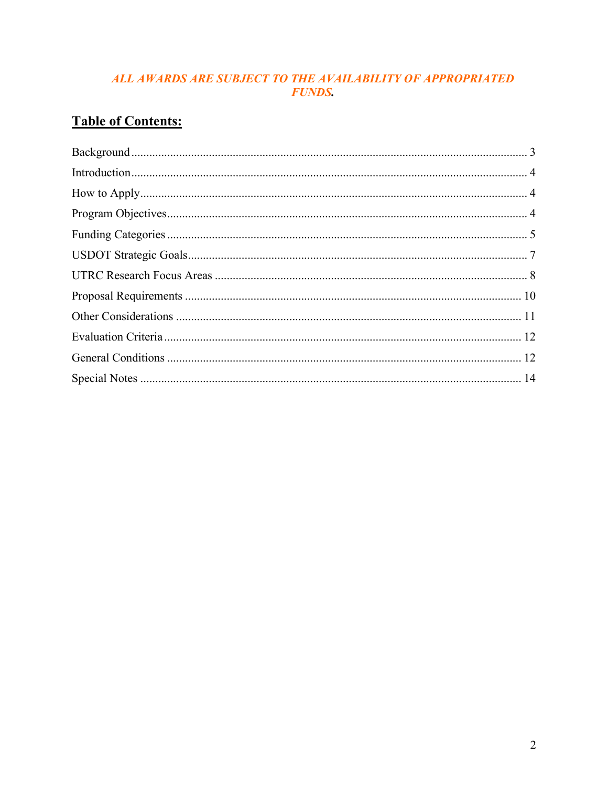### ALL AWARDS ARE SUBJECT TO THE AVAILABILITY OF APPROPRIATED **FUNDS.**

# **Table of Contents:**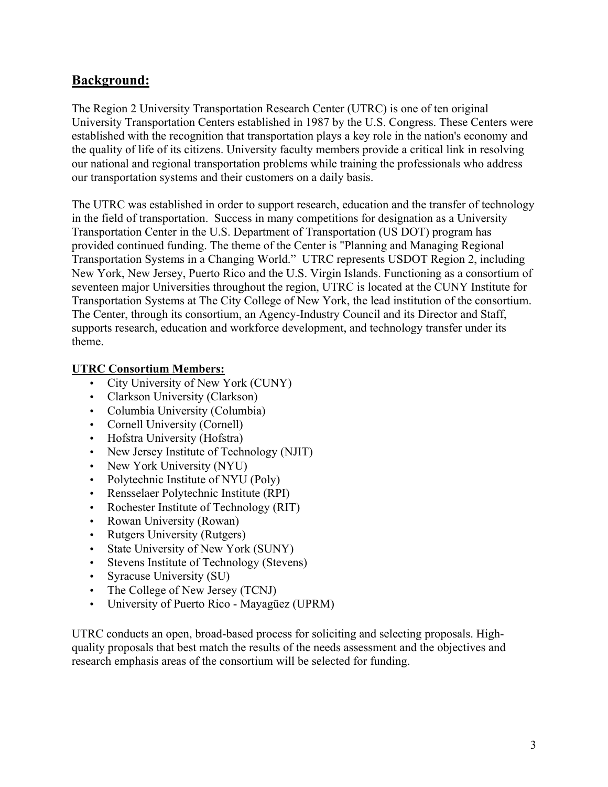# **Background:**

The Region 2 University Transportation Research Center (UTRC) is one of ten original University Transportation Centers established in 1987 by the U.S. Congress. These Centers were established with the recognition that transportation plays a key role in the nation's economy and the quality of life of its citizens. University faculty members provide a critical link in resolving our national and regional transportation problems while training the professionals who address our transportation systems and their customers on a daily basis.

The UTRC was established in order to support research, education and the transfer of technology in the field of transportation. Success in many competitions for designation as a University Transportation Center in the U.S. Department of Transportation (US DOT) program has provided continued funding. The theme of the Center is "Planning and Managing Regional Transportation Systems in a Changing World." UTRC represents USDOT Region 2, including New York, New Jersey, Puerto Rico and the U.S. Virgin Islands. Functioning as a consortium of seventeen major Universities throughout the region, UTRC is located at the CUNY Institute for Transportation Systems at The City College of New York, the lead institution of the consortium. The Center, through its consortium, an Agency-Industry Council and its Director and Staff, supports research, education and workforce development, and technology transfer under its theme.

#### **UTRC Consortium Members:**

- City University of New York (CUNY)
- Clarkson University (Clarkson)
- Columbia University (Columbia)
- Cornell University (Cornell)
- Hofstra University (Hofstra)
- New Jersey Institute of Technology (NJIT)
- New York University (NYU)
- Polytechnic Institute of NYU (Poly)
- Rensselaer Polytechnic Institute (RPI)
- Rochester Institute of Technology (RIT)
- Rowan University (Rowan)
- Rutgers University (Rutgers)
- State University of New York (SUNY)
- Stevens Institute of Technology (Stevens)
- Syracuse University (SU)
- The College of New Jersey (TCNJ)
- University of Puerto Rico Mayagüez (UPRM)

UTRC conducts an open, broad-based process for soliciting and selecting proposals. Highquality proposals that best match the results of the needs assessment and the objectives and research emphasis areas of the consortium will be selected for funding.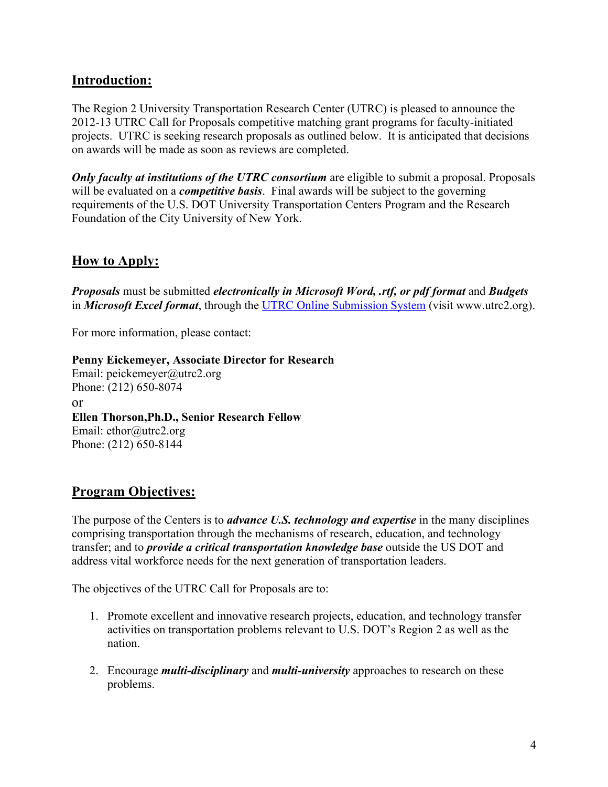# **Introduction:**

The Region 2 University Transportation Research Center (UTRC) is pleased to announce the 2012-13 UTRC Call for Proposals competitive matching grant programs for faculty-initiated projects. UTRC is seeking research proposals as outlined below. It is anticipated that decisions on awards will be made as soon as reviews are completed.

*Only faculty at institutions of the UTRC consortium* are eligible to submit a proposal. Proposals will be evaluated on a *competitive basis*. Final awards will be subject to the governing requirements of the U.S. DOT University Transportation Centers Program and the Research Foundation of the City University of New York.

### **How to Apply:**

*Proposals* must be submitted *electronically in Microsoft Word, .rtf, or pdf format* and *Budgets* in *Microsoft Excel format*, through the UTRC Online Submission System (visit www.utrc2.org).

For more information, please contact:

**Penny Eickemeyer, Associate Director for Research** Email: peickemeyer@utrc2.org Phone: (212) 650-8074 or **Ellen Thorson,Ph.D., Senior Research Fellow** Email: ethor@utrc2.org Phone: (212) 650-8144

### **Program Objectives:**

The purpose of the Centers is to *advance U.S. technology and expertise* in the many disciplines comprising transportation through the mechanisms of research, education, and technology transfer; and to *provide a critical transportation knowledge base* outside the US DOT and address vital workforce needs for the next generation of transportation leaders.

The objectives of the UTRC Call for Proposals are to:

- 1. Promote excellent and innovative research projects, education, and technology transfer activities on transportation problems relevant to U.S. DOT's Region 2 as well as the nation.
- 2. Encourage *multi-disciplinary* and *multi-university* approaches to research on these problems.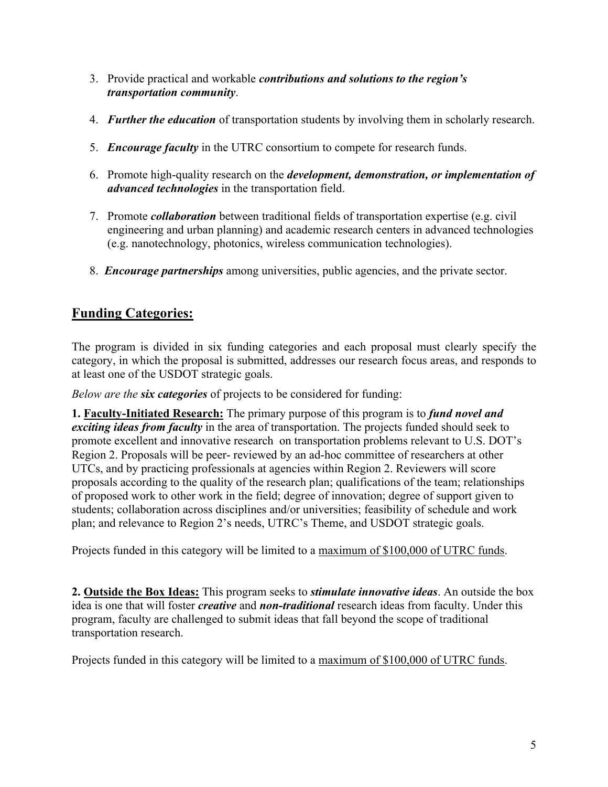- 3. Provide practical and workable *contributions and solutions to the region's transportation community*.
- 4. *Further the education* of transportation students by involving them in scholarly research.
- 5. *Encourage faculty* in the UTRC consortium to compete for research funds.
- 6. Promote high-quality research on the *development, demonstration, or implementation of advanced technologies* in the transportation field.
- 7. Promote *collaboration* between traditional fields of transportation expertise (e.g. civil engineering and urban planning) and academic research centers in advanced technologies (e.g. nanotechnology, photonics, wireless communication technologies).
- 8. *Encourage partnerships* among universities, public agencies, and the private sector.

# **Funding Categories:**

The program is divided in six funding categories and each proposal must clearly specify the category, in which the proposal is submitted, addresses our research focus areas, and responds to at least one of the USDOT strategic goals.

*Below are the six categories* of projects to be considered for funding:

**1. Faculty-Initiated Research:** The primary purpose of this program is to *fund novel and exciting ideas from faculty* in the area of transportation. The projects funded should seek to promote excellent and innovative research on transportation problems relevant to U.S. DOT's Region 2. Proposals will be peer- reviewed by an ad-hoc committee of researchers at other UTCs, and by practicing professionals at agencies within Region 2. Reviewers will score proposals according to the quality of the research plan; qualifications of the team; relationships of proposed work to other work in the field; degree of innovation; degree of support given to students; collaboration across disciplines and/or universities; feasibility of schedule and work plan; and relevance to Region 2's needs, UTRC's Theme, and USDOT strategic goals.

Projects funded in this category will be limited to a maximum of \$100,000 of UTRC funds.

**2. Outside the Box Ideas:** This program seeks to *stimulate innovative ideas*. An outside the box idea is one that will foster *creative* and *non-traditional* research ideas from faculty. Under this program, faculty are challenged to submit ideas that fall beyond the scope of traditional transportation research.

Projects funded in this category will be limited to a maximum of \$100,000 of UTRC funds.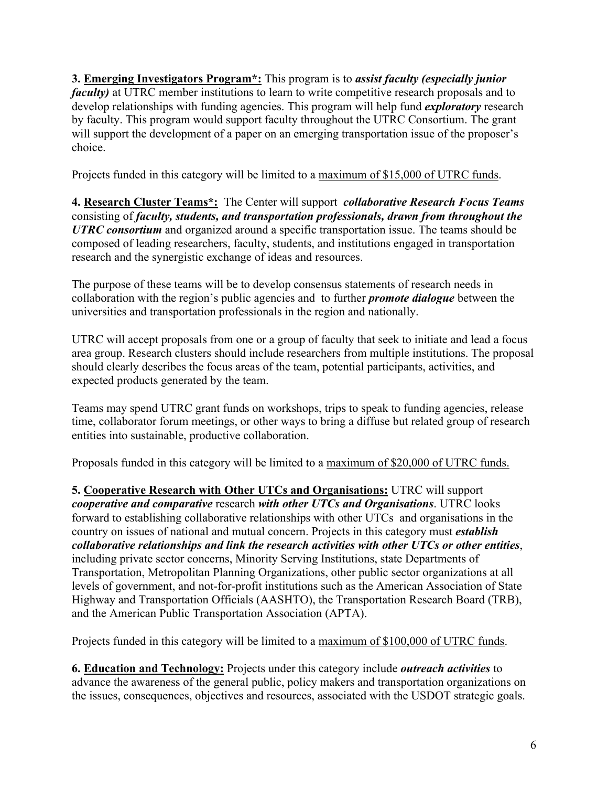**3. Emerging Investigators Program\*:** This program is to *assist faculty (especially junior faculty*) at UTRC member institutions to learn to write competitive research proposals and to develop relationships with funding agencies. This program will help fund *exploratory* research by faculty. This program would support faculty throughout the UTRC Consortium. The grant will support the development of a paper on an emerging transportation issue of the proposer's choice.

Projects funded in this category will be limited to a maximum of \$15,000 of UTRC funds.

**4. Research Cluster Teams\*:** The Center will support *collaborative Research Focus Teams* consisting of *faculty, students, and transportation professionals, drawn from throughout the UTRC consortium* and organized around a specific transportation issue. The teams should be composed of leading researchers, faculty, students, and institutions engaged in transportation research and the synergistic exchange of ideas and resources.

The purpose of these teams will be to develop consensus statements of research needs in collaboration with the region's public agencies and to further *promote dialogue* between the universities and transportation professionals in the region and nationally.

UTRC will accept proposals from one or a group of faculty that seek to initiate and lead a focus area group. Research clusters should include researchers from multiple institutions. The proposal should clearly describes the focus areas of the team, potential participants, activities, and expected products generated by the team.

Teams may spend UTRC grant funds on workshops, trips to speak to funding agencies, release time, collaborator forum meetings, or other ways to bring a diffuse but related group of research entities into sustainable, productive collaboration.

Proposals funded in this category will be limited to a maximum of \$20,000 of UTRC funds.

**5. Cooperative Research with Other UTCs and Organisations:** UTRC will support *cooperative and comparative* research *with other UTCs and Organisations*. UTRC looks forward to establishing collaborative relationships with other UTCs and organisations in the country on issues of national and mutual concern. Projects in this category must *establish collaborative relationships and link the research activities with other UTCs or other entities*, including private sector concerns, Minority Serving Institutions, state Departments of Transportation, Metropolitan Planning Organizations, other public sector organizations at all levels of government, and not-for-profit institutions such as the American Association of State Highway and Transportation Officials (AASHTO), the Transportation Research Board (TRB), and the American Public Transportation Association (APTA).

Projects funded in this category will be limited to a maximum of \$100,000 of UTRC funds.

**6. Education and Technology:** Projects under this category include *outreach activities* to advance the awareness of the general public, policy makers and transportation organizations on the issues, consequences, objectives and resources, associated with the USDOT strategic goals.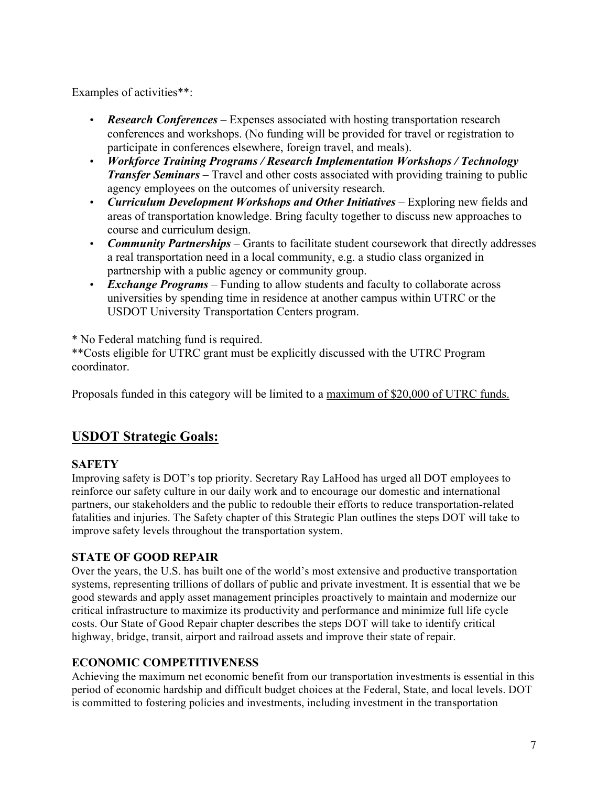Examples of activities\*\*:

- *Research Conferences* Expenses associated with hosting transportation research conferences and workshops. (No funding will be provided for travel or registration to participate in conferences elsewhere, foreign travel, and meals).
- *Workforce Training Programs / Research Implementation Workshops / Technology Transfer Seminars* – Travel and other costs associated with providing training to public agency employees on the outcomes of university research.
- *Curriculum Development Workshops and Other Initiatives* Exploring new fields and areas of transportation knowledge. Bring faculty together to discuss new approaches to course and curriculum design.
- *Community Partnerships* Grants to facilitate student coursework that directly addresses a real transportation need in a local community, e.g. a studio class organized in partnership with a public agency or community group.
- *Exchange Programs* Funding to allow students and faculty to collaborate across universities by spending time in residence at another campus within UTRC or the USDOT University Transportation Centers program.

\* No Federal matching fund is required.

\*\*Costs eligible for UTRC grant must be explicitly discussed with the UTRC Program coordinator.

Proposals funded in this category will be limited to a maximum of \$20,000 of UTRC funds.

# **USDOT Strategic Goals:**

#### **SAFETY**

Improving safety is DOT's top priority. Secretary Ray LaHood has urged all DOT employees to reinforce our safety culture in our daily work and to encourage our domestic and international partners, our stakeholders and the public to redouble their efforts to reduce transportation-related fatalities and injuries. The Safety chapter of this Strategic Plan outlines the steps DOT will take to improve safety levels throughout the transportation system.

#### **STATE OF GOOD REPAIR**

Over the years, the U.S. has built one of the world's most extensive and productive transportation systems, representing trillions of dollars of public and private investment. It is essential that we be good stewards and apply asset management principles proactively to maintain and modernize our critical infrastructure to maximize its productivity and performance and minimize full life cycle costs. Our State of Good Repair chapter describes the steps DOT will take to identify critical highway, bridge, transit, airport and railroad assets and improve their state of repair.

#### **ECONOMIC COMPETITIVENESS**

Achieving the maximum net economic benefit from our transportation investments is essential in this period of economic hardship and difficult budget choices at the Federal, State, and local levels. DOT is committed to fostering policies and investments, including investment in the transportation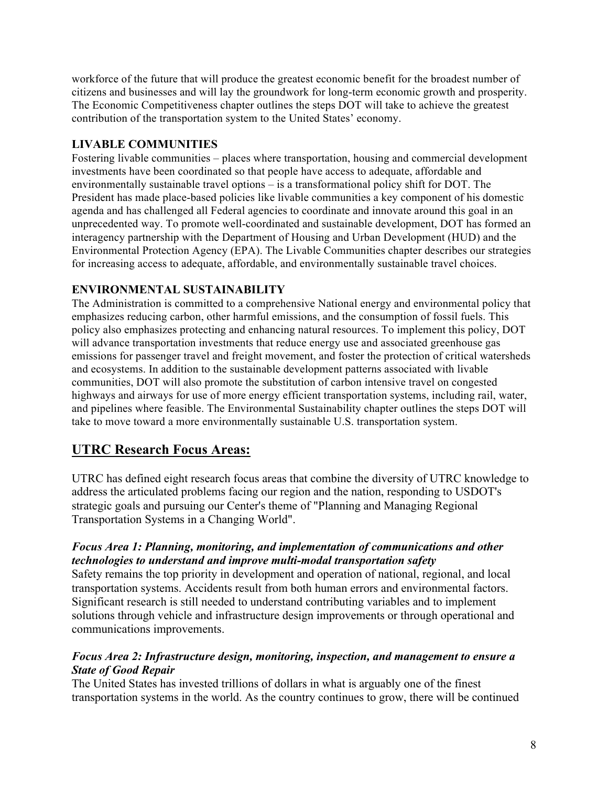workforce of the future that will produce the greatest economic benefit for the broadest number of citizens and businesses and will lay the groundwork for long-term economic growth and prosperity. The Economic Competitiveness chapter outlines the steps DOT will take to achieve the greatest contribution of the transportation system to the United States' economy.

#### **LIVABLE COMMUNITIES**

Fostering livable communities – places where transportation, housing and commercial development investments have been coordinated so that people have access to adequate, affordable and environmentally sustainable travel options – is a transformational policy shift for DOT. The President has made place-based policies like livable communities a key component of his domestic agenda and has challenged all Federal agencies to coordinate and innovate around this goal in an unprecedented way. To promote well-coordinated and sustainable development, DOT has formed an interagency partnership with the Department of Housing and Urban Development (HUD) and the Environmental Protection Agency (EPA). The Livable Communities chapter describes our strategies for increasing access to adequate, affordable, and environmentally sustainable travel choices.

#### **ENVIRONMENTAL SUSTAINABILITY**

The Administration is committed to a comprehensive National energy and environmental policy that emphasizes reducing carbon, other harmful emissions, and the consumption of fossil fuels. This policy also emphasizes protecting and enhancing natural resources. To implement this policy, DOT will advance transportation investments that reduce energy use and associated greenhouse gas emissions for passenger travel and freight movement, and foster the protection of critical watersheds and ecosystems. In addition to the sustainable development patterns associated with livable communities, DOT will also promote the substitution of carbon intensive travel on congested highways and airways for use of more energy efficient transportation systems, including rail, water, and pipelines where feasible. The Environmental Sustainability chapter outlines the steps DOT will take to move toward a more environmentally sustainable U.S. transportation system.

### **UTRC Research Focus Areas:**

UTRC has defined eight research focus areas that combine the diversity of UTRC knowledge to address the articulated problems facing our region and the nation, responding to USDOT's strategic goals and pursuing our Center's theme of "Planning and Managing Regional Transportation Systems in a Changing World".

#### *Focus Area 1: Planning, monitoring, and implementation of communications and other technologies to understand and improve multi-modal transportation safety*

Safety remains the top priority in development and operation of national, regional, and local transportation systems. Accidents result from both human errors and environmental factors. Significant research is still needed to understand contributing variables and to implement solutions through vehicle and infrastructure design improvements or through operational and communications improvements.

#### *Focus Area 2: Infrastructure design, monitoring, inspection, and management to ensure a State of Good Repair*

The United States has invested trillions of dollars in what is arguably one of the finest transportation systems in the world. As the country continues to grow, there will be continued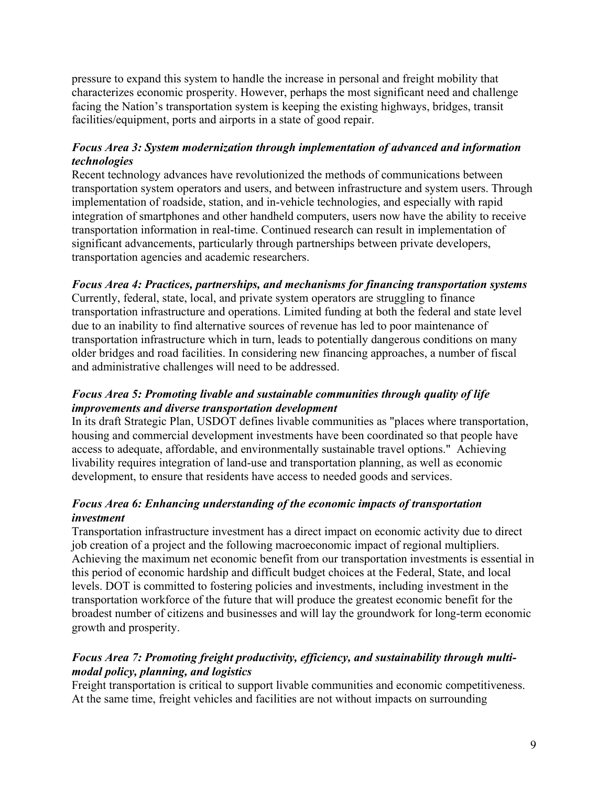pressure to expand this system to handle the increase in personal and freight mobility that characterizes economic prosperity. However, perhaps the most significant need and challenge facing the Nation's transportation system is keeping the existing highways, bridges, transit facilities/equipment, ports and airports in a state of good repair.

#### *Focus Area 3: System modernization through implementation of advanced and information technologies*

Recent technology advances have revolutionized the methods of communications between transportation system operators and users, and between infrastructure and system users. Through implementation of roadside, station, and in-vehicle technologies, and especially with rapid integration of smartphones and other handheld computers, users now have the ability to receive transportation information in real-time. Continued research can result in implementation of significant advancements, particularly through partnerships between private developers, transportation agencies and academic researchers.

#### *Focus Area 4: Practices, partnerships, and mechanisms for financing transportation systems*

Currently, federal, state, local, and private system operators are struggling to finance transportation infrastructure and operations. Limited funding at both the federal and state level due to an inability to find alternative sources of revenue has led to poor maintenance of transportation infrastructure which in turn, leads to potentially dangerous conditions on many older bridges and road facilities. In considering new financing approaches, a number of fiscal and administrative challenges will need to be addressed.

#### *Focus Area 5: Promoting livable and sustainable communities through quality of life improvements and diverse transportation development*

In its draft Strategic Plan, USDOT defines livable communities as "places where transportation, housing and commercial development investments have been coordinated so that people have access to adequate, affordable, and environmentally sustainable travel options." Achieving livability requires integration of land-use and transportation planning, as well as economic development, to ensure that residents have access to needed goods and services.

#### *Focus Area 6: Enhancing understanding of the economic impacts of transportation investment*

Transportation infrastructure investment has a direct impact on economic activity due to direct job creation of a project and the following macroeconomic impact of regional multipliers. Achieving the maximum net economic benefit from our transportation investments is essential in this period of economic hardship and difficult budget choices at the Federal, State, and local levels. DOT is committed to fostering policies and investments, including investment in the transportation workforce of the future that will produce the greatest economic benefit for the broadest number of citizens and businesses and will lay the groundwork for long-term economic growth and prosperity.

#### *Focus Area 7: Promoting freight productivity, efficiency, and sustainability through multimodal policy, planning, and logistics*

Freight transportation is critical to support livable communities and economic competitiveness. At the same time, freight vehicles and facilities are not without impacts on surrounding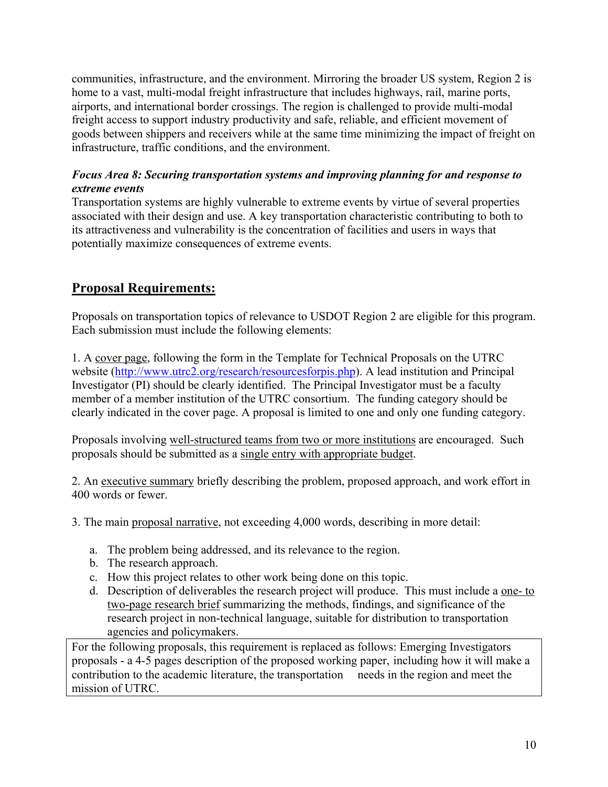communities, infrastructure, and the environment. Mirroring the broader US system, Region 2 is home to a vast, multi-modal freight infrastructure that includes highways, rail, marine ports, airports, and international border crossings. The region is challenged to provide multi-modal freight access to support industry productivity and safe, reliable, and efficient movement of goods between shippers and receivers while at the same time minimizing the impact of freight on infrastructure, traffic conditions, and the environment.

#### *Focus Area 8: Securing transportation systems and improving planning for and response to extreme events*

Transportation systems are highly vulnerable to extreme events by virtue of several properties associated with their design and use. A key transportation characteristic contributing to both to its attractiveness and vulnerability is the concentration of facilities and users in ways that potentially maximize consequences of extreme events.

# **Proposal Requirements:**

Proposals on transportation topics of relevance to USDOT Region 2 are eligible for this program. Each submission must include the following elements:

1. A cover page, following the form in the Template for Technical Proposals on the UTRC website (http://www.utrc2.org/research/resourcesforpis.php). A lead institution and Principal Investigator (PI) should be clearly identified. The Principal Investigator must be a faculty member of a member institution of the UTRC consortium. The funding category should be clearly indicated in the cover page. A proposal is limited to one and only one funding category.

Proposals involving well-structured teams from two or more institutions are encouraged. Such proposals should be submitted as a single entry with appropriate budget.

2. An executive summary briefly describing the problem, proposed approach, and work effort in 400 words or fewer.

3. The main proposal narrative, not exceeding 4,000 words, describing in more detail:

- a. The problem being addressed, and its relevance to the region.
- b. The research approach.
- c. How this project relates to other work being done on this topic.
- d. Description of deliverables the research project will produce. This must include a one- to two-page research brief summarizing the methods, findings, and significance of the research project in non-technical language, suitable for distribution to transportation agencies and policymakers.

For the following proposals, this requirement is replaced as follows: Emerging Investigators proposals - a 4-5 pages description of the proposed working paper, including how it will make a contribution to the academic literature, the transportation needs in the region and meet the mission of UTRC.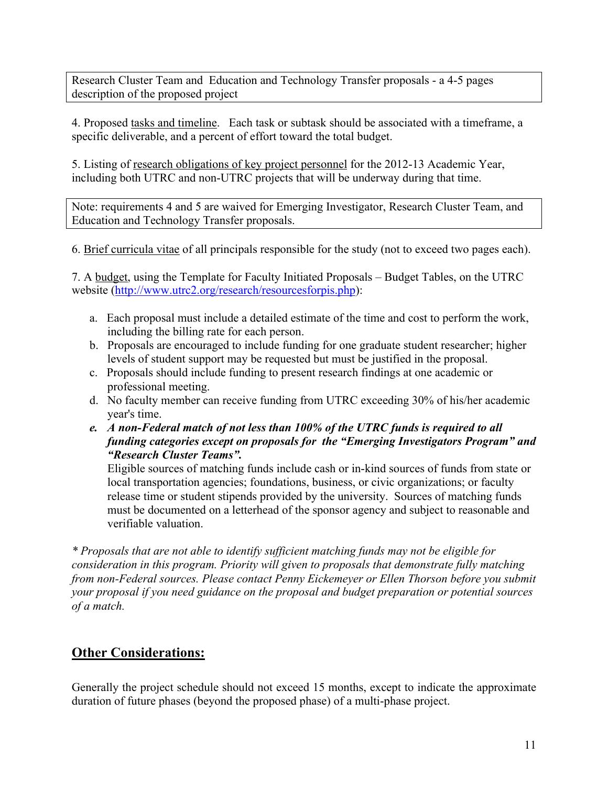Research Cluster Team and Education and Technology Transfer proposals - a 4-5 pages description of the proposed project

4. Proposed tasks and timeline. Each task or subtask should be associated with a timeframe, a specific deliverable, and a percent of effort toward the total budget.

5. Listing of research obligations of key project personnel for the 2012-13 Academic Year, including both UTRC and non-UTRC projects that will be underway during that time.

Note: requirements 4 and 5 are waived for Emerging Investigator, Research Cluster Team, and Education and Technology Transfer proposals.

6. Brief curricula vitae of all principals responsible for the study (not to exceed two pages each).

7. A budget, using the Template for Faculty Initiated Proposals – Budget Tables, on the UTRC website (http://www.utrc2.org/research/resourcesforpis.php):

- a. Each proposal must include a detailed estimate of the time and cost to perform the work, including the billing rate for each person.
- b. Proposals are encouraged to include funding for one graduate student researcher; higher levels of student support may be requested but must be justified in the proposal.
- c. Proposals should include funding to present research findings at one academic or professional meeting.
- d. No faculty member can receive funding from UTRC exceeding 30% of his/her academic year's time.
- *e. A non-Federal match of not less than 100% of the UTRC funds is required to all funding categories except on proposals for the "Emerging Investigators Program" and "Research Cluster Teams".*

Eligible sources of matching funds include cash or in-kind sources of funds from state or local transportation agencies; foundations, business, or civic organizations; or faculty release time or student stipends provided by the university. Sources of matching funds must be documented on a letterhead of the sponsor agency and subject to reasonable and verifiable valuation.

*\* Proposals that are not able to identify sufficient matching funds may not be eligible for consideration in this program. Priority will given to proposals that demonstrate fully matching from non-Federal sources. Please contact Penny Eickemeyer or Ellen Thorson before you submit your proposal if you need guidance on the proposal and budget preparation or potential sources of a match.* 

# **Other Considerations:**

Generally the project schedule should not exceed 15 months, except to indicate the approximate duration of future phases (beyond the proposed phase) of a multi-phase project.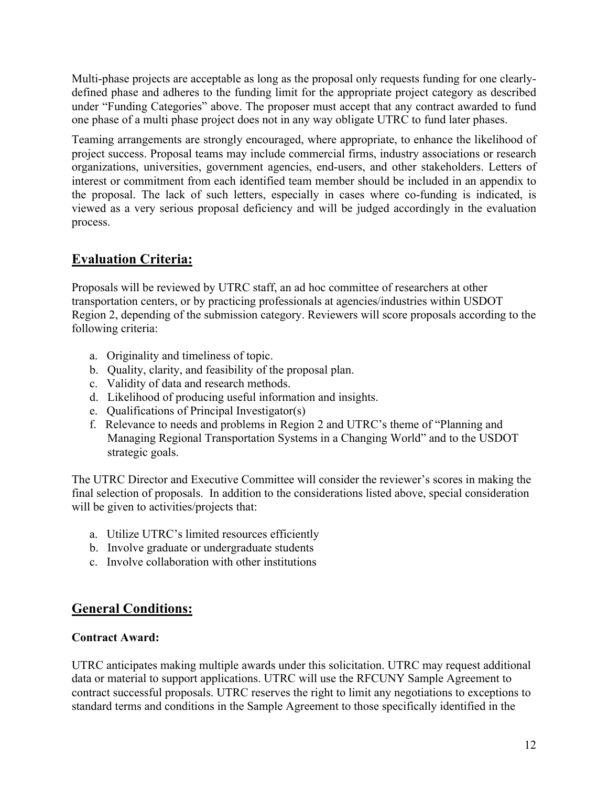Multi-phase projects are acceptable as long as the proposal only requests funding for one clearlydefined phase and adheres to the funding limit for the appropriate project category as described under "Funding Categories" above. The proposer must accept that any contract awarded to fund one phase of a multi phase project does not in any way obligate UTRC to fund later phases.

Teaming arrangements are strongly encouraged, where appropriate, to enhance the likelihood of project success. Proposal teams may include commercial firms, industry associations or research organizations, universities, government agencies, end-users, and other stakeholders. Letters of interest or commitment from each identified team member should be included in an appendix to the proposal. The lack of such letters, especially in cases where co-funding is indicated, is viewed as a very serious proposal deficiency and will be judged accordingly in the evaluation process.

# **Evaluation Criteria:**

Proposals will be reviewed by UTRC staff, an ad hoc committee of researchers at other transportation centers, or by practicing professionals at agencies/industries within USDOT Region 2, depending of the submission category. Reviewers will score proposals according to the following criteria:

- a. Originality and timeliness of topic.
- b. Quality, clarity, and feasibility of the proposal plan.
- c. Validity of data and research methods.
- d. Likelihood of producing useful information and insights.
- e. Qualifications of Principal Investigator(s)
- f. Relevance to needs and problems in Region 2 and UTRC's theme of "Planning and Managing Regional Transportation Systems in a Changing World" and to the USDOT strategic goals.

The UTRC Director and Executive Committee will consider the reviewer's scores in making the final selection of proposals. In addition to the considerations listed above, special consideration will be given to activities/projects that:

- a. Utilize UTRC's limited resources efficiently
- b. Involve graduate or undergraduate students
- c. Involve collaboration with other institutions

# **General Conditions:**

#### **Contract Award:**

UTRC anticipates making multiple awards under this solicitation. UTRC may request additional data or material to support applications. UTRC will use the RFCUNY Sample Agreement to contract successful proposals. UTRC reserves the right to limit any negotiations to exceptions to standard terms and conditions in the Sample Agreement to those specifically identified in the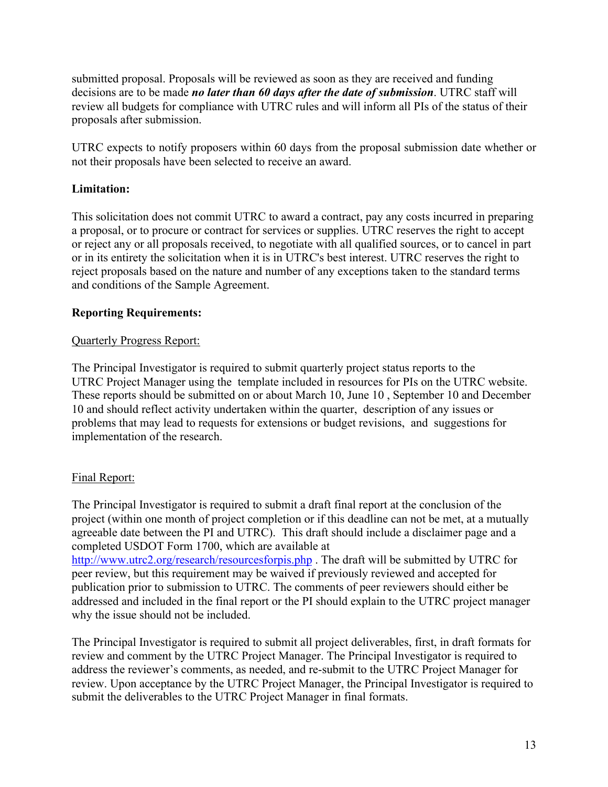submitted proposal. Proposals will be reviewed as soon as they are received and funding decisions are to be made *no later than 60 days after the date of submission*. UTRC staff will review all budgets for compliance with UTRC rules and will inform all PIs of the status of their proposals after submission.

UTRC expects to notify proposers within 60 days from the proposal submission date whether or not their proposals have been selected to receive an award.

#### **Limitation:**

This solicitation does not commit UTRC to award a contract, pay any costs incurred in preparing a proposal, or to procure or contract for services or supplies. UTRC reserves the right to accept or reject any or all proposals received, to negotiate with all qualified sources, or to cancel in part or in its entirety the solicitation when it is in UTRC's best interest. UTRC reserves the right to reject proposals based on the nature and number of any exceptions taken to the standard terms and conditions of the Sample Agreement.

#### **Reporting Requirements:**

#### Quarterly Progress Report:

The Principal Investigator is required to submit quarterly project status reports to the UTRC Project Manager using the template included in resources for PIs on the UTRC website. These reports should be submitted on or about March 10, June 10 , September 10 and December 10 and should reflect activity undertaken within the quarter, description of any issues or problems that may lead to requests for extensions or budget revisions, and suggestions for implementation of the research.

#### Final Report:

The Principal Investigator is required to submit a draft final report at the conclusion of the project (within one month of project completion or if this deadline can not be met, at a mutually agreeable date between the PI and UTRC). This draft should include a disclaimer page and a completed USDOT Form 1700, which are available at http://www.utrc2.org/research/resourcesforpis.php . The draft will be submitted by UTRC for peer review, but this requirement may be waived if previously reviewed and accepted for publication prior to submission to UTRC. The comments of peer reviewers should either be addressed and included in the final report or the PI should explain to the UTRC project manager why the issue should not be included.

The Principal Investigator is required to submit all project deliverables, first, in draft formats for review and comment by the UTRC Project Manager. The Principal Investigator is required to address the reviewer's comments, as needed, and re-submit to the UTRC Project Manager for review. Upon acceptance by the UTRC Project Manager, the Principal Investigator is required to submit the deliverables to the UTRC Project Manager in final formats.